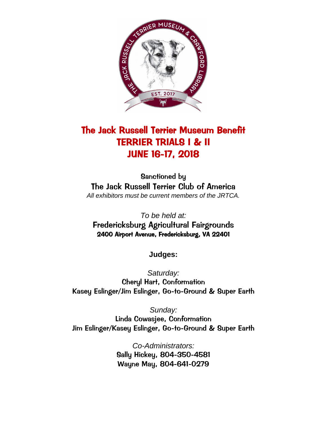

# The Jack Russell Terrier Museum Benefit TERRIER TRIALS I & II JUNE 16-17, 2018

Sanctioned by The Jack Russell Terrier Club of America *All exhibitors must be current members of the JRTCA.*

*To be held at:* Fredericksburg Agricultural Fairgrounds 2400 Airport Avenue, Fredericksburg, VA 22401

**Judges:**

*Saturday:* Cheryl Hart, Conformation Kasey Eslinger/Jim Eslinger, Go-to-Ground & Super Earth

*Sunday:* Linda Cowasjee, Conformation Jim Eslinger/Kasey Eslinger, Go-to-Ground & Super Earth

> *Co-Administrators:* Sally Hickey, 804-350-4581 Wayne May, 804-641-0279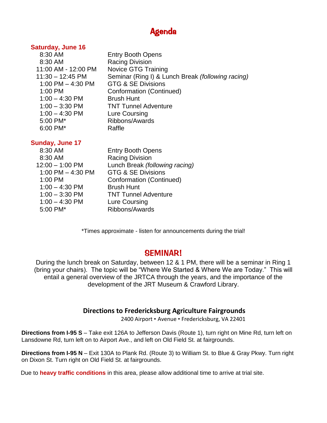# Agenda

#### **Saturday, June 16**

| 8:30 AM             | <b>Entry Booth Opens</b>                          |
|---------------------|---------------------------------------------------|
| 8:30 AM             | <b>Racing Division</b>                            |
| 11:00 AM - 12:00 PM | <b>Novice GTG Training</b>                        |
| $11:30 - 12:45$ PM  | Seminar (Ring I) & Lunch Break (following racing) |
| 1:00 PM $-$ 4:30 PM | <b>GTG &amp; SE Divisions</b>                     |
| 1:00 PM             | Conformation (Continued)                          |
| $1:00 - 4:30$ PM    | <b>Brush Hunt</b>                                 |
| $1:00 - 3:30$ PM    | <b>TNT Tunnel Adventure</b>                       |
| $1:00 - 4:30$ PM    | Lure Coursing                                     |
| 5:00 PM*            | Ribbons/Awards                                    |
| 6:00 PM*            | Raffle                                            |
|                     |                                                   |

#### **Sunday, June 17**

| 8:30 AM             | <b>Entry Booth Opens</b>       |
|---------------------|--------------------------------|
| 8:30 AM             | <b>Racing Division</b>         |
| $12:00 - 1:00$ PM   | Lunch Break (following racing) |
| 1:00 PM $-$ 4:30 PM | <b>GTG &amp; SE Divisions</b>  |
| 1:00 PM             | Conformation (Continued)       |
| $1:00 - 4:30$ PM    | <b>Brush Hunt</b>              |
| $1:00 - 3:30$ PM    | <b>TNT Tunnel Adventure</b>    |
| $1:00 - 4:30$ PM    | Lure Coursing                  |
| 5:00 PM*            | Ribbons/Awards                 |
|                     |                                |

\*Times approximate - listen for announcements during the trial!

### SEMINAR!

During the lunch break on Saturday, between 12 & 1 PM, there will be a seminar in Ring 1 (bring your chairs). The topic will be "Where We Started & Where We are Today." This will entail a general overview of the JRTCA through the years, and the importance of the development of the JRT Museum & Crawford Library.

#### **Directions to Fredericksburg Agriculture Fairgrounds**

2400 Airport • Avenue • Fredericksburg, VA 22401

**Directions from I-95 S** – Take exit 126A to Jefferson Davis (Route 1), turn right on Mine Rd, turn left on Lansdowne Rd, turn left on to Airport Ave., and left on Old Field St. at fairgrounds.

**Directions from I-95 N** – Exit 130A to Plank Rd. (Route 3) to William St. to Blue & Gray Pkwy. Turn right on Dixon St. Turn right on Old Field St. at fairgrounds.

Due to **heavy traffic conditions** in this area, please allow additional time to arrive at trial site.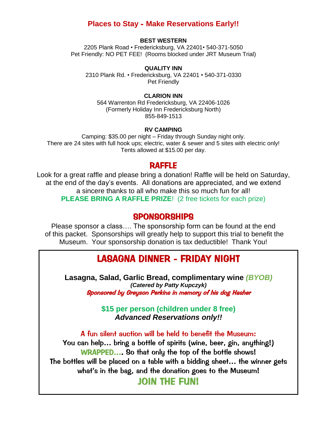## **Places to Stay** - **Make Reservations Early!!**

#### **BEST WESTERN**

2205 Plank Road • Fredericksburg, VA 22401• 540-371-5050 Pet Friendly: NO PET FEE! (Rooms blocked under JRT Museum Trial)

#### **QUALITY INN**

2310 Plank Rd. • Fredericksburg, VA 22401 • 540-371-0330 Pet Friendly

#### **CLARION INN**

564 Warrenton Rd Fredericksburg, VA 22406-1026 (Formerly Holiday Inn Fredericksburg North) 855-849-1513

#### **RV CAMPING**

Camping: \$35.00 per night – Friday through Sunday night only. There are 24 sites with full hook ups; electric, water & sewer and 5 sites with electric only! Tents allowed at \$15.00 per day.

#### RAFFLE

Look for a great raffle and please bring a donation! Raffle will be held on Saturday, at the end of the day's events. All donations are appreciated, and we extend a sincere thanks to all who make this so much fun for all! **PLEASE BRING A RAFFLE PRIZE**! (2 free tickets for each prize)

#### SPONSORSHIPS

Please sponsor a class…. The sponsorship form can be found at the end of this packet. Sponsorships will greatly help to support this trial to benefit the Museum. Your sponsorship donation is tax deductible! Thank You!

## LASAGNA DINNER - FRIDAY NIGHT

*(Catered by Patty Kupczyk)* **Lasagna, Salad, Garlic Bread, complimentary wine** *(BYOB)* Sponsored by Greyson Perkins in memory of his dog Hasher

> **\$15 per person (children under 8 free)** *Advanced Reservations only!!*

A fun silent auction will be held to benefit the Museum: You can help… bring a bottle of spirits (wine, beer, gin, anything!) WRAPPED…. So that only the top of the bottle shows! The bottles will be placed on a table with a bidding sheet… the winner gets what's in the bag, and the donation goes to the Museum!

JOIN THE FUN!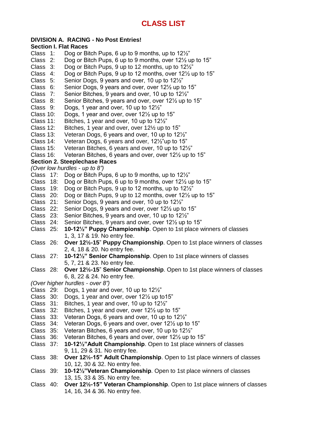#### **DIVISION A. RACING - No Post Entries!**

# **Section I. Flat Races**

- Dog or Bitch Pups, 6 up to 9 months, up to  $12\frac{1}{2}$ "
- Class 2: Dog or Bitch Pups, 6 up to 9 months, over 12½ up to 15"
- Class 3: Dog or Bitch Pups, 9 up to 12 months, up to 12½"
- Class 4: Dog or Bitch Pups, 9 up to 12 months, over 12½ up to 15"
- Class 5: Senior Dogs, 9 years and over, 10 up to 12½"
- Class 6: Senior Dogs, 9 years and over, over 12½ up to 15"
- Class 7: Senior Bitches, 9 years and over, 10 up to 12½"
- Class 8: Senior Bitches, 9 years and over, over 12½ up to 15"
- Class 9: Dogs, 1 year and over, 10 up to 12½"
- Class 10: Dogs, 1 year and over, over 12½ up to 15"
- Class 11: Bitches, 1 year and over, 10 up to 12½"
- Class 12: Bitches, 1 year and over, over 12½ up to 15"
- Class 13: Veteran Dogs, 6 years and over, 10 up to 12½"
- Class 14: Veteran Dogs, 6 years and over, 12½"up to 15"
- Class 15: Veteran Bitches, 6 years and over, 10 up to 12½"
- Class 16: Veteran Bitches, 6 years and over, over 12½ up to 15"

#### **Section 2. Steeplechase Races**

*(Over low hurdles - up to 8")*

- Class 17: Dog or Bitch Pups, 6 up to 9 months, up to 12½"
- Class 18: Dog or Bitch Pups, 6 up to 9 months, over 12½ up to 15"
- Class 19: Dog or Bitch Pups, 9 up to 12 months, up to 12½"
- Class 20: Dog or Bitch Pups, 9 up to 12 months, over 12½ up to 15"
- Class 21: Senior Dogs, 9 years and over, 10 up to 12½"
- Class 22: Senior Dogs, 9 years and over, over 12½ up to 15"
- Class 23: Senior Bitches, 9 years and over, 10 up to 12½"
- Class 24: Senior Bitches, 9 years and over, over 12½ up to 15"
- Class 25: **10-12½" Puppy Championship**. Open to 1st place winners of classes 1, 3, 17 & 19. No entry fee.
- Class 26: **Over 12½-15**" **Puppy Championship**. Open to 1st place winners of classes 2, 4, 18 & 20. No entry fee.
- Class 27: **10-12½" Senior Championship**. Open to 1st place winners of classes 5, 7, 21 & 23. No entry fee.
- Class 28: **Over 12½-15**" **Senior Championship**. Open to 1st place winners of classes 6, 8, 22 & 24. No entry fee.
- *(Over higher hurdles - over 8")*
- Class 29: Dogs, 1 year and over, 10 up to 12½"
- Class 30: Dogs, 1 year and over, over 12½ up to15"
- Class 31: Bitches, 1 year and over, 10 up to 12½"
- Class 32: Bitches, 1 year and over, over 12½ up to 15"
- Class 33: Veteran Dogs, 6 years and over, 10 up to 12½"
- Class 34: Veteran Dogs, 6 years and over, over 12½ up to 15"
- Class 35: Veteran Bitches, 6 years and over, 10 up to 12½"
- Class 36: Veteran Bitches, 6 years and over, over 12½ up to 15"
- Class 37: **10-12½"Adult Championship**. Open to 1st place winners of classes 9, 11, 29 & 31. No entry fee.
- Class 38: **Over 12½-15" Adult Championship**. Open to 1st place winners of classes 10, 12, 30 & 32. No entry fee.
- Class 39: **10-12½"Veteran Championship**. Open to 1st place winners of classes 13, 15, 33 & 35. No entry fee.
- Class 40: **Over 12½-15" Veteran Championship**. Open to 1st place winners of classes 14, 16, 34 & 36. No entry fee.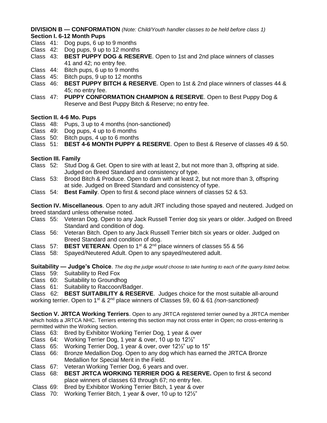**DIVISION B — CONFORMATION** *(Note: Child/Youth handler classes to be held before class 1)* **Section I. 6-12 Month Pups**

- Class 41: Dog pups, 6 up to 9 months
- Class 42: Dog pups, 9 up to 12 months
- Class 43: **BEST PUPPY DOG & RESERVE**. Open to 1st and 2nd place winners of classes 41 and 42; no entry fee.
- Class 44: Bitch pups, 6 up to 9 months
- Class 45: Bitch pups, 9 up to 12 months
- Class 46: **BEST PUPPY BITCH & RESERVE**. Open to 1st & 2nd place winners of classes 44 & 45; no entry fee.
- Class 47: **PUPPY CONFORMATION CHAMPION & RESERVE**. Open to Best Puppy Dog & Reserve and Best Puppy Bitch & Reserve; no entry fee.

#### **Section II. 4-6 Mo. Pups**

- Class 48: Pups, 3 up to 4 months (non-sanctioned)
- Class 49: Dog pups, 4 up to 6 months
- Class 50: Bitch pups, 4 up to 6 months
- Class 51: **BEST 4-6 MONTH PUPPY & RESERVE**. Open to Best & Reserve of classes 49 & 50.

#### **Section III. Family**

- Class 52: Stud Dog & Get. Open to sire with at least 2, but not more than 3, offspring at side. Judged on Breed Standard and consistency of type.
- Class 53: Brood Bitch & Produce. Open to dam with at least 2, but not more than 3, offspring at side. Judged on Breed Standard and consistency of type.
- Class 54: **Best Family**. Open to first & second place winners of classes 52 & 53.

**Section IV. Miscellaneous**. Open to any adult JRT including those spayed and neutered. Judged on breed standard unless otherwise noted.

- Class 55: Veteran Dog. Open to any Jack Russell Terrier dog six years or older. Judged on Breed Standard and condition of dog.
- Class 56: Veteran Bitch. Open to any Jack Russell Terrier bitch six years or older. Judged on Breed Standard and condition of dog.
- Class 57: **BEST VETERAN**. Open to 1<sup>st</sup> & 2<sup>nd</sup> place winners of classes 55 & 56
- Class 58: Spayed/Neutered Adult. Open to any spayed/neutered adult.

**Suitability — Judge's Choice**. *The dog the judge would choose to take hunting to each of the quarry listed below.*

- Class 59: Suitability to Red Fox
- Class 60: Suitability to Groundhog
- Class 61: Suitability to Raccoon/Badger.

Class 62: **BEST SUITABILITY & RESERVE**. Judges choice for the most suitable all-around working terrier. Open to 1st & 2nd place winners of Classes 59, 60 & 61 *(non-sanctioned)*

**Section V. JRTCA Working Terriers**. Open to any JRTCA registered terrier owned by a JRTCA member which holds a JRTCA NHC. Terriers entering this section may not cross enter in Open; no cross-entering is permitted within the Working section.

- Class 63: Bred by Exhibitor Working Terrier Dog, 1 year & over
- Class 64: Working Terrier Dog, 1 year & over, 10 up to 12½"
- Class 65: Working Terrier Dog, 1 year & over, over 12½" up to 15"
- Class 66: Bronze Medallion Dog. Open to any dog which has earned the JRTCA Bronze Medallion for Special Merit in the Field.
- Class 67: Veteran Working Terrier Dog, 6 years and over.
- Class 68: **BEST JRTCA WORKING TERRIER DOG & RESERVE.** Open to first & second place winners of classes 63 through 67; no entry fee.
- Class 69: Bred by Exhibitor Working Terrier Bitch, 1 year & over
- Class 70: Working Terrier Bitch, 1 year & over, 10 up to 12½"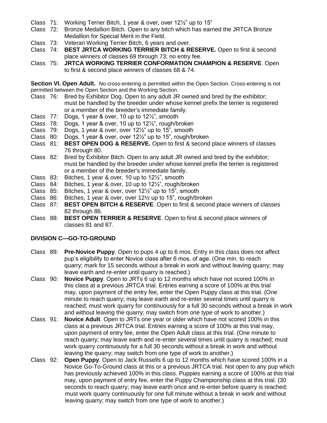- Class 71: Working Terrier Bitch, 1 year & over, over 12½" up to 15"
- Class 72: Bronze Medallion Bitch. Open to any bitch which has earned the JRTCA Bronze Medallion for Special Merit in the Field.
- Class 73: Veteran Working Terrier Bitch, 6 years and over.
- Class 74: **BEST JRTCA WORKING TERRIER BITCH & RESERVE.** Open to first & second place winners of classes 69 through 73; no entry fee.
- Class 75: **JRTCA WORKING TERRIER CONFORMATION CHAMPION & RESERVE**. Open to first & second place winners of classes 68 & 74.

**Section VI. Open Adult.** No cross-entering is permitted within the Open Section. Cross-entering is not permitted between the Open Section and the Working Section.

- Class 76: Bred by Exhibitor Dog. Open to any adult JR owned and bred by the exhibitor; must be handled by the breeder under whose kennel prefix the terrier is registered or a member of the breeder's immediate family.
- Class 77: Dogs, 1 year & over, 10 up to 12½", smooth
- Class 78: Dogs, 1 year & over, 10 up to 12½", rough/broken
- Class  $79:$  Dogs, 1 year & over, over  $12\frac{1}{2}$ " up to 15", smooth
- Class 80: Dogs, 1 year & over, over 12½" up to 15", rough/broken
- Class 81: **BEST OPEN DOG & RESERVE.** Open to first & second place winners of classes 76 through 80.
- Class 82: Bred by Exhibitor Bitch. Open to any adult JR owned and bred by the exhibitor; must be handled by the breeder under whose kennel prefix the terrier is registered or a member of the breeder's immediate family.
- Class 83: Bitches, 1 year & over, 10 up to 12½", smooth
- Class 84: Bitches, 1 year & over, 10 up to 12½", rough/broken
- Class 85: Bitches, 1 year & over, over 12½" up to 15", smooth
- Class 86: Bitches, 1 year & over, over 12½ up to 15", rough/broken
- Class 87: **BEST OPEN BITCH & RESERVE**. Open to first & second place winners of classes 82 through 86.
- Class 88: **BEST OPEN TERRIER & RESERVE**. Open to first & second place winners of classes 81 and 87.

#### **DIVISION C—GO-TO-GROUND**

- Class 89: **Pre-Novice Puppy**. Open to pups 4 up to 6 mos. Entry in this class does not affect pup's eligibility to enter Novice class after 6 mos. of age. (One min. to reach quarry; mark for 15 seconds without a break in work and without leaving quarry; may leave earth and re-enter until quarry is reached.)
- Class 90: **Novice Puppy**. Open to JRTs 6 up to 12 months which have not scored 100% in this class at a previous JRTCA trial. Entries earning a score of 100% at this trial may, upon payment of the entry fee, enter the Open Puppy class at this trial. (One minute to reach quarry; may leave earth and re-enter several times until quarry is reached; must work quarry for continuously for a full 30 seconds without a break in work and without leaving the quarry; may switch from one type of work to another.)
- Class 91: **Novice Adult**. Open to JRTs one year or older which have not scored 100% in this class at a previous JRTCA trial. Entries earning a score of 100% at this trial may, upon payment of entry fee, enter the Open Adult class at this trial. (One minute to reach quarry; may leave earth and re-enter several times until quarry is reached; must work quarry continuously for a full 30 seconds without a break in work and without leaving the quarry; may switch from one type of work to another.)
- Class 92: **Open Puppy**. Open to Jack Russells 6 up to 12 months which have scored 100% in a Novice Go-To-Ground class at this or a previous JRTCA trial. Not open to any pup which has previously achieved 100% in this class. Puppies earning a score of 100% at this trial may, upon payment of entry fee, enter the Puppy Championship class at this trial. (30 seconds to reach quarry; may leave earth once and re-enter before quarry is reached; must work quarry continuously for one full minute without a break in work and without leaving quarry; may switch from one type of work to another.)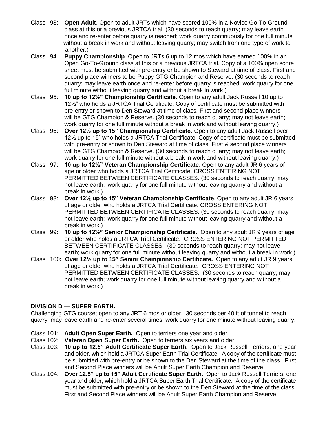- Class 93: **Open Adult**. Open to adult JRTs which have scored 100% in a Novice Go-To-Ground class at this or a previous JRTCA trial. (30 seconds to reach quarry; may leave earth once and re-enter before quarry is reached; work quarry continuously for one full minute without a break in work and without leaving quarry; may switch from one type of work to another.)
- Class 94. **Puppy Championship**. Open to JRTs 6 up to 12 mos which have earned 100% in an Open Go-To-Ground class at this or a previous JRTCA trial. Copy of a 100% open score sheet must be submitted with pre-entry or be shown to Steward at time of class. First and second place winners to be Puppy GTG Champion and Reserve. (30 seconds to reach quarry; may leave earth once and re-enter before quarry is reached; work quarry for one full minute without leaving quarry and without a break in work.)
- Class 95: **10 up to 12½" Championship Certificate**. Open to any adult Jack Russell 10 up to 12½" who holds a JRTCA Trial Certificate. Copy of certificate must be submitted with pre-entry or shown to Den Steward at time of class. First and second place winners will be GTG Champion & Reserve. (30 seconds to reach quarry; may not leave earth; work quarry for one full minute without a break in work and without leaving quarry.)
- Class 96: **Over 12½ up to 15" Championship Certificate**. Open to any adult Jack Russell over 12½ up to 15" who holds a JRTCA Trial Certificate. Copy of certificate must be submitted with pre-entry or shown to Den Steward at time of class. First & second place winners will be GTG Champion & Reserve. (30 seconds to reach quarry; may not leave earth; work quarry for one full minute without a break in work and without leaving quarry.)
- Class 97: **10 up to 12½" Veteran Championship Certificate**. Open to any adult JR 6 years of age or older who holds a JRTCA Trial Certificate. CROSS ENTERING NOT PERMITTED BETWEEN CERTIFICATE CLASSES. (30 seconds to reach quarry; may not leave earth; work quarry for one full minute without leaving quarry and without a break in work.)
- Class 98: **Over 12½ up to 15" Veteran Championship Certificate**. Open to any adult JR 6 years of age or older who holds a JRTCA Trial Certificate. CROSS ENTERING NOT PERMITTED BETWEEN CERTIFICATE CLASSES. (30 seconds to reach quarry; may not leave earth; work quarry for one full minute without leaving quarry and without a break in work.)
- Class 99: **10 up to 12½" Senior Championship Certificate.** Open to any adult JR 9 years of age or older who holds a JRTCA Trial Certificate. CROSS ENTERING NOT PERMITTED BETWEEN CERTIFICATE CLASSES. (30 seconds to reach quarry; may not leave earth; work quarry for one full minute without leaving quarry and without a break in work.)
- Class 100**: Over 12½ up to 15" Senior Championship Certificate.** Open to any adult JR 9 years of age or older who holds a JRTCA Trial Certificate. CROSS ENTERING NOT PERMITTED BETWEEN CERTIFICATE CLASSES. (30 seconds to reach quarry; may not leave earth; work quarry for one full minute without leaving quarry and without a break in work.)

#### **DIVISION D — SUPER EARTH.**

Challenging GTG course; open to any JRT 6 mos or older. 30 seconds per 40 ft of tunnel to reach quarry; may leave earth and re-enter several times; work quarry for one minute without leaving quarry.

- Class 101: **Adult Open Super Earth.** Open to terriers one year and older.
- Class 102: **Veteran Open Super Earth.** Open to terriers six years and older.
- Class 103: **10 up to 12.5" Adult Certificate Super Earth.** Open to Jack Russell Terriers, one year and older, which hold a JRTCA Super Earth Trial Certificate. A copy of the certificate must be submitted with pre-entry or be shown to the Den Steward at the time of the class. First and Second Place winners will be Adult Super Earth Champion and Reserve.
- Class 104: **Over 12.5" up to 15" Adult Certificate Super Earth.** Open to Jack Russell Terriers, one year and older, which hold a JRTCA Super Earth Trial Certificate. A copy of the certificate must be submitted with pre-entry or be shown to the Den Steward at the time of the class. First and Second Place winners will be Adult Super Earth Champion and Reserve.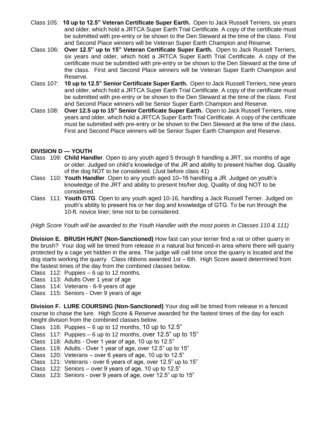- Class 105:**10 up to 12.5" Veteran Certificate Super Earth.** Open to Jack Russell Terriers, six years and older, which hold a JRTCA Super Earth Trial Certificate. A copy of the certificate must be submitted with pre-entry or be shown to the Den Steward at the time of the class. First and Second Place winners will be Veteran Super Earth Champion and Reserve.
- Class 106:**Over 12.5" up to 15" Veteran Certificate Super Earth.** Open to Jack Russell Terriers, six years and older, which hold a JRTCA Super Earth Trial Certificate. A copy of the certificate must be submitted with pre-entry or be shown to the Den Steward at the time of the class. First and Second Place winners will be Veteran Super Earth Champion and Reserve.
- Class 107: **10 up to 12.5" Senior Certificate Super Earth.** Open to Jack Russell Terriers, nine years and older, which hold a JRTCA Super Earth Trial Certificate. A copy of the certificate must be submitted with pre-entry or be shown to the Den Steward at the time of the class. First and Second Place winners will be Senior Super Earth Champion and Reserve.
- Class 108: **Over 12.5 up to 15" Senior Certificate Super Earth.** Open to Jack Russell Terriers, nine years and older, which hold a JRTCA Super Earth Trial Certificate. A copy of the certificate must be submitted with pre-entry or be shown to the Den Steward at the time of the class. First and Second Place winners will be Senior Super Earth Champion and Reserve.

#### **DIVISION D — YOUTH**

- Class 109: **Child Handler**. Open to any youth aged 5 through 9 handling a JRT, six months of age or older. Judged on child's knowledge of the JR and ability to present his/her dog. Quality of the dog NOT to be considered. (Just before class 41)
- Class 110: **Youth Handler**. Open to any youth aged 10–16 handling a JR. Judged on youth's knowledge of the JRT and ability to present his/her dog. Quality of dog NOT to be considered.
- Class 111: **Youth GTG**. Open to any youth aged 10-16, handling a Jack Russell Terrier. Judged on youth's ability to present his or her dog and knowledge of GTG. To be run through the 10-ft. novice liner; time not to be considered.

*(High Score Youth will be awarded to the Youth Handler with the most points in Classes 110 & 111)*

**Division E. BRUSH HUNT (Non-Sanctioned)** How fast can your terrier find a rat or other quarry in the brush? Your dog will be timed from release in a natural but fenced-in area where there will quarry protected by a cage yet hidden in the area. The judge will call time once the quarry is located and the dog starts working the quarry. Class ribbons awarded 1st – 6th. High Score award determined from the fastest times of the day from the combined classes below.

- Class 112: Puppies 6 up to 12 months.
- Class 113: Adults Over 1 year of age
- Class 114: Veterans 6-9 years of age
- Class 115: Seniors Over 9 years of age

**Division F. LURE COURSING (Non-Sanctioned)** Your dog will be timed from release in a fenced course to chase the lure. High Score & Reserve awarded for the fastest times of the day for each height division from the combined classes below.

- Class 116: Puppies  $-6$  up to 12 months, 10 up to 12.5"
- Class 117: Puppies 6 up to 12 months, over 12.5" up to 15"
- Class 118: Adults Over 1 year of age, 10 up to 12.5"
- Class 119: Adults Over 1 year of age, over 12.5" up to 15"
- Class 120: Veterans over 6 years of age, 10 up to 12.5"
- Class 121: Veterans over 6 years of age, over 12.5" up to 15"
- Class 122: Seniors over 9 years of age, 10 up to 12.5"
- Class 123: Seniors over 9 years of age, over 12.5" up to 15"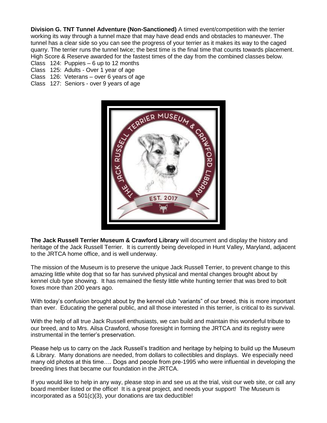**Division G. TNT Tunnel Adventure (Non-Sanctioned)** A timed event/competition with the terrier working its way through a tunnel maze that may have dead ends and obstacles to maneuver. The tunnel has a clear side so you can see the progress of your terrier as it makes its way to the caged quarry. The terrier runs the tunnel twice; the best time is the final time that counts towards placement. High Score & Reserve awarded for the fastest times of the day from the combined classes below.

- Class 124: Puppies 6 up to 12 months
- Class 125: Adults Over 1 year of age
- Class 126: Veterans over 6 years of age
- Class 127: Seniors over 9 years of age



**The Jack Russell Terrier Museum & Crawford Library** will document and display the history and heritage of the Jack Russell Terrier. It is currently being developed in Hunt Valley, Maryland, adjacent to the JRTCA home office, and is well underway.

The mission of the Museum is to preserve the unique Jack Russell Terrier, to prevent change to this amazing little white dog that so far has survived physical and mental changes brought about by kennel club type showing. It has remained the fiesty little white hunting terrier that was bred to bolt foxes more than 200 years ago.

With today's confusion brought about by the kennel club "variants" of our breed, this is more important than ever. Educating the general public, and all those interested in this terrier, is critical to its survival.

With the help of all true Jack Russell enthusiasts, we can build and maintain this wonderful tribute to our breed, and to Mrs. Ailsa Crawford, whose foresight in forming the JRTCA and its registry were instrumental in the terrier's preservation.

Please help us to carry on the Jack Russell's tradition and heritage by helping to build up the Museum & Library. Many donations are needed, from dollars to collectibles and displays. We especially need many old photos at this time…. Dogs and people from pre-1995 who were influential in developing the breeding lines that became our foundation in the JRTCA.

If you would like to help in any way, please stop in and see us at the trial, visit our web site, or call any board member listed or the office! It is a great project, and needs your support! The Museum is incorporated as a 501(c)(3), your donations are tax deductible!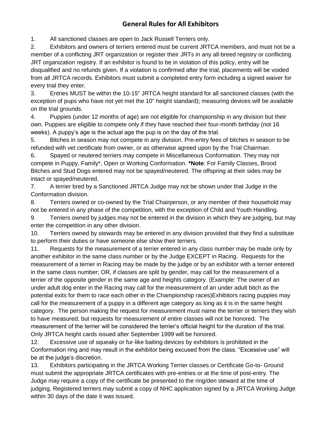## **General Rules for All Exhibitors**

1. All sanctioned classes are open to Jack Russell Terriers only.

2. Exhibitors and owners of terriers entered must be current JRTCA members, and must not be a member of a conflicting JRT organization or register their JRTs in any all-breed registry or conflicting JRT organization registry. If an exhibitor is found to be in violation of this policy, entry will be disqualified and no refunds given. If a violation is confirmed after the trial, placements will be voided from all JRTCA records. Exhibitors must submit a completed entry form including a signed waiver for every trial they enter.

3. Entries MUST be within the 10-15" JRTCA height standard for all sanctioned classes (with the exception of pups who have not yet met the 10" height standard); measuring devices will be available on the trial grounds.

4. Puppies (under 12 months of age) are not eligible for championship in any division but their own. Puppies are eligible to compete only if they have reached their four-month birthday (not 16 weeks). A puppy's age is the actual age the pup is on the day of the trial.

5. Bitches in season may not compete in any division. Pre-entry fees of bitches in season to be refunded with vet certificate from owner, or as otherwise agreed upon by the Trial Chairman.

6. Spayed or neutered terriers may compete in Miscellaneous Conformation. They may not compete in Puppy, Family\*, Open or Working Conformation. **\*Note**: For Family Classes, Brood Bitches and Stud Dogs entered may not be spayed/neutered. The offspring at their sides may be intact or spayed/neutered.

7. A terrier bred by a Sanctioned JRTCA Judge may not be shown under that Judge in the Conformation division.

8. Terriers owned or co-owned by the Trial Chairperson, or any member of their household may not be entered in any phase of the competition, with the exception of Child and Youth Handling.

9. Terriers owned by judges may not be entered in the division in which they are judging, but may enter the competition in any other division.

10. Terriers owned by stewards may be entered in any division provided that they find a substitute to perform their duties or have someone else show their terriers.

11. Requests for the measurement of a terrier entered in any class number may be made only by another exhibitor in the same class number or by the Judge EXCEPT in Racing. Requests for the measurement of a terrier in Racing may be made by the judge or by an exhibitor with a terrier entered in the same class number; OR, if classes are split by gender, may call for the measurement of a terrier of the opposite gender in the same age and heights category. (Example: The owner of an under adult dog enter in the Racing may call for the measurement of an under adult bitch as the potential exits for them to race each other in the Championship races)Exhibitors racing puppies may call for the measurement of a puppy in a different age category as long as it is in the same height category. The person making the request for measurement must name the terrier or terriers they wish to have measured, but requests for measurement of entire classes will not be honored. The measurement of the terrier will be considered the terrier's official height for the duration of the trial. Only JRTCA height cards issued after September 1999 will be honored.

12. Excessive use of squeaky or fur-like baiting devices by exhibitors is prohibited in the Conformation ring and may result in the exhibitor being excused from the class. "Excessive use" will be at the judge's discretion.

13. Exhibitors participating in the JRTCA Working Terrier classes or Certificate Go-to- Ground must submit the appropriate JRTCA certificates with pre-entries or at the time of post-entry. The Judge may require a copy of the certificate be presented to the ring/den steward at the time of judging. Registered terriers may submit a copy of NHC application signed by a JRTCA Working Judge within 30 days of the date it was issued.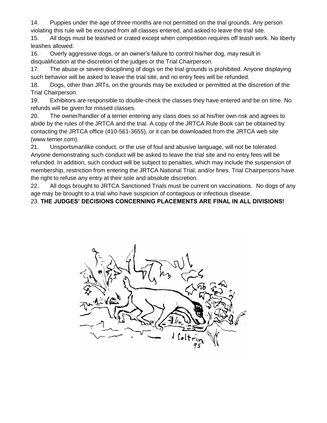14. Puppies under the age of three months are not permitted on the trial grounds. Any person violating this rule will be excused from all classes entered, and asked to leave the trial site.

15. All dogs must be leashed or crated except when competition requires off leash work. No liberty leashes allowed.

16. Overly aggressive dogs, or an owner's failure to control his/her dog, may result in disqualification at the discretion of the judges or the Trial Chairperson.

17. The abuse or severe disciplining of dogs on the trial grounds is prohibited. Anyone displaying such behavior will be asked to leave the trial site, and no entry fees will be refunded.

18. Dogs, other than JRTs, on the grounds may be excluded or permitted at the discretion of the Trial Chairperson.

19. Exhibitors are responsible to double-check the classes they have entered and be on time. No refunds will be given for missed classes.

20. The owner/handler of a terrier entering any class does so at his/her own risk and agrees to abide by the rules of the JRTCA and the trial. A copy of the JRTCA Rule Book can be obtained by contacting the JRTCA office (410-561-3655), or it can be downloaded from the JRTCA web site (www.terrier.com).

21. Unsportsmanlike conduct, or the use of foul and abusive language, will not be tolerated. Anyone demonstrating such conduct will be asked to leave the trial site and no entry fees will be refunded. In addition, such conduct will be subject to penalties, which may include the suspension of membership, restriction from entering the JRTCA National Trial, and/or fines. Trial Chairpersons have the right to refuse any entry at their sole and absolute discretion.

22. All dogs brought to JRTCA Sanctioned Trials must be current on vaccinations. No dogs of any age may be brought to a trial who have suspicion of contagious or infectious disease.

23. **THE JUDGES' DECISIONS CONCERNING PLACEMENTS ARE FINAL IN ALL DIVISIONS!**